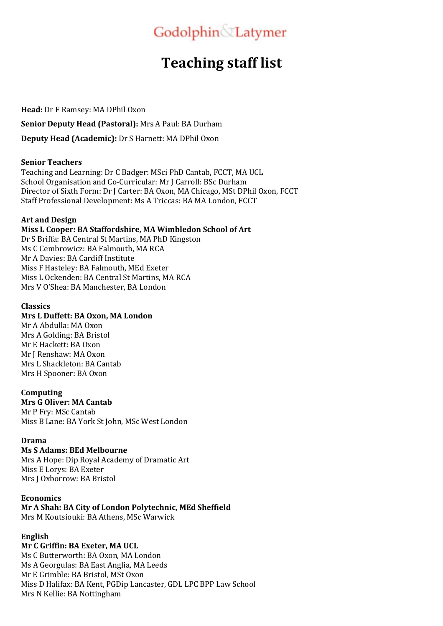# Godolphin Latymer

# **Teaching staff list**

**Head:** Dr F Ramsey: MA DPhil Oxon

**Senior Deputy Head (Pastoral):** Mrs A Paul: BA Durham

**Deputy Head (Academic):** Dr S Harnett: MA DPhil Oxon

## **Senior Teachers**

Teaching and Learning: Dr C Badger: MSci PhD Cantab, FCCT, MA UCL School Organisation and Co-Curricular: Mr J Carroll: BSc Durham Director of Sixth Form: Dr J Carter: BA Oxon, MA Chicago, MSt DPhil Oxon, FCCT Staff Professional Development: Ms A Triccas: BA MA London, FCCT

## **Art and Design**

# **Miss L Cooper: BA Staffordshire, MA Wimbledon School of Art**

Dr S Briffa: BA Central St Martins, MA PhD Kingston Ms C Cembrowicz: BA Falmouth, MA RCA Mr A Davies: BA Cardiff Institute Miss F Hasteley: BA Falmouth, MEd Exeter Miss L Ockenden: BA Central St Martins, MA RCA Mrs V O'Shea: BA Manchester, BA London

## **Classics**

# **Mrs L Duffett: BA Oxon, MA London**

Mr A Abdulla: MA Oxon Mrs A Golding: BA Bristol Mr E Hackett: BA Oxon Mr I Renshaw: MA Oxon Mrs L Shackleton: BA Cantab Mrs H Spooner: BA Oxon

# **Computing**

**Mrs G Oliver: MA Cantab** Mr P Frv: MSc Cantab

Miss B Lane: BA York St John, MSc West London

# **Drama**

# **Ms S Adams: BEd Melbourne**

Mrs A Hope: Dip Royal Academy of Dramatic Art Miss E Lorys: BA Exeter Mrs J Oxborrow: BA Bristol

#### **Economics**

# **Mr A Shah: BA City of London Polytechnic, MEd Sheffield**

Mrs M Koutsiouki: BA Athens, MSc Warwick

# **English**

# **Mr C Griffin: BA Exeter, MA UCL**

Ms C Butterworth: BA Oxon, MA London Ms A Georgulas: BA East Anglia, MA Leeds Mr E Grimble: BA Bristol, MSt Oxon Miss D Halifax: BA Kent, PGDip Lancaster, GDL LPC BPP Law School Mrs N Kellie: BA Nottingham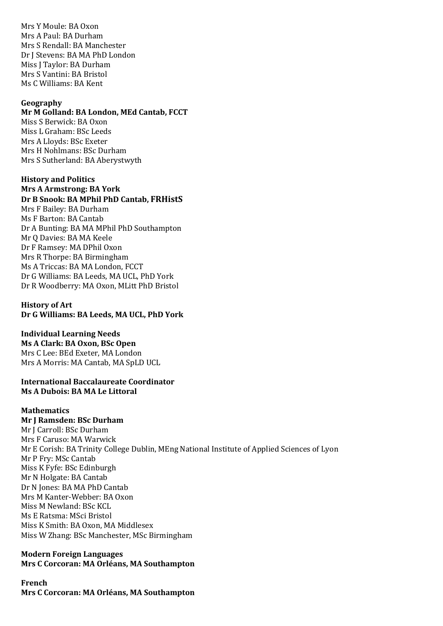Mrs Y Moule: BA Oxon Mrs A Paul: BA Durham Mrs S Rendall: BA Manchester Dr I Stevens: BA MA PhD London Miss I Taylor: BA Durham Mrs S Vantini: BA Bristol Ms C Williams: BA Kent

#### **Geography**

#### **Mr M Golland: BA London, MEd Cantab, FCCT**

Miss S Berwick: BA Oxon Miss L Graham: BSc Leeds Mrs A Lloyds: BSc Exeter Mrs H Nohlmans: BSc Durham Mrs S Sutherland: BA Aberystwyth

#### **History and Politics**

**Mrs A Armstrong: BA York Dr B Snook: BA MPhil PhD Cantab, FRHistS** Mrs F Bailey: BA Durham Ms F Barton: BA Cantab Dr A Bunting: BA MA MPhil PhD Southampton Mr Q Davies: BA MA Keele Dr F Ramsey: MA DPhil Oxon Mrs R Thorpe: BA Birmingham Ms A Triccas: BA MA London, FCCT Dr G Williams: BA Leeds, MA UCL, PhD York Dr R Woodberry: MA Oxon, MLitt PhD Bristol

#### **History of Art** Dr G Williams: BA Leeds, MA UCL, PhD York

#### **Individual Learning Needs**

**Ms A Clark: BA Oxon, BSc Open** Mrs C Lee: BEd Exeter, MA London Mrs A Morris: MA Cantab, MA SpLD UCL

#### **International Baccalaureate Coordinator Ms A Dubois: BA MA Le Littoral**

#### **Mathematics**

#### **Mr J Ramsden: BSc Durham**

Mr I Carroll: BSc Durham Mrs F Caruso: MA Warwick Mr E Corish: BA Trinity College Dublin, MEng National Institute of Applied Sciences of Lyon Mr P Fry: MSc Cantab Miss K Fyfe: BSc Edinburgh Mr N Holgate: BA Cantab Dr N Jones: BA MA PhD Cantab Mrs M Kanter-Webber: BA Oxon Miss M Newland: BSc KCL Ms E Ratsma: MSci Bristol Miss K Smith: BA Oxon, MA Middlesex Miss W Zhang: BSc Manchester, MSc Birmingham

## **Modern Foreign Languages Mrs C Corcoran: MA Orléans, MA Southampton**

# **French Mrs C Corcoran: MA Orléans, MA Southampton**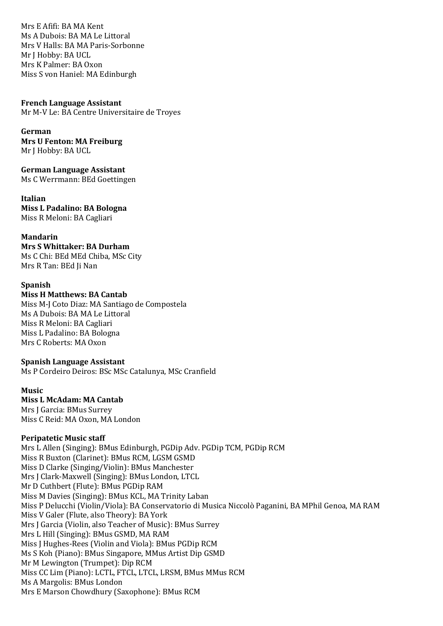Mrs E Afifi: BA MA Kent Ms A Dubois: BA MA Le Littoral Mrs V Halls: BA MA Paris-Sorbonne Mr I Hobby: BA UCL Mrs K Palmer: BA Oxon Miss S von Haniel: MA Edinburgh

#### **French Language Assistant**

Mr M-V Le: BA Centre Universitaire de Troyes

**German Mrs U Fenton: MA Freiburg** Mr J Hobby: BA UCL

**German Language Assistant** Ms C Werrmann: BEd Goettingen

**Italian Miss L Padalino: BA Bologna** Miss R Meloni: BA Cagliari

**Mandarin Mrs S Whittaker: BA Durham** Ms C Chi: BEd MEd Chiba, MSc City Mrs R Tan: BEd Ji Nan

#### **Spanish**

**Miss H Matthews: BA Cantab** 

Miss M-J Coto Diaz: MA Santiago de Compostela Ms A Dubois: BA MA Le Littoral Miss R Meloni: BA Cagliari Miss L Padalino: BA Bologna Mrs C Roberts: MA Oxon

#### **Spanish Language Assistant**

Ms P Cordeiro Deiros: BSc MSc Catalunya, MSc Cranfield

#### **Music**

# **Miss L McAdam: MA Cantab**

Mrs J Garcia: BMus Surrey Miss C Reid: MA Oxon, MA London

#### **Peripatetic Music staff**

Mrs L Allen (Singing): BMus Edinburgh, PGDip Adv. PGDip TCM, PGDip RCM Miss R Buxton (Clarinet): BMus RCM, LGSM GSMD Miss D Clarke (Singing/Violin): BMus Manchester Mrs J Clark-Maxwell (Singing): BMus London, LTCL Mr D Cuthbert (Flute): BMus PGDip RAM Miss M Davies (Singing): BMus KCL, MA Trinity Laban Miss P Delucchi (Violin/Viola): BA Conservatorio di Musica Niccolò Paganini, BA MPhil Genoa, MA RAM Miss V Galer (Flute, also Theory): BA York Mrs J Garcia (Violin, also Teacher of Music): BMus Surrey Mrs L Hill (Singing): BMus GSMD, MA RAM Miss J Hughes-Rees (Violin and Viola): BMus PGDip RCM Ms S Koh (Piano): BMus Singapore, MMus Artist Dip GSMD Mr M Lewington (Trumpet): Dip RCM Miss CC Lim (Piano): LCTL, FTCL, LTCL, LRSM, BMus MMus RCM Ms A Margolis: BMus London Mrs E Marson Chowdhury (Saxophone): BMus RCM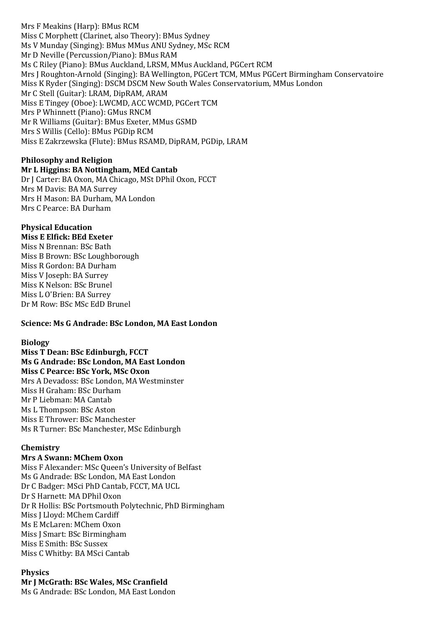Mrs F Meakins (Harp): BMus RCM Miss C Morphett (Clarinet, also Theory): BMus Sydney Ms V Munday (Singing): BMus MMus ANU Sydney, MSc RCM Mr D Neville (Percussion/Piano): BMus RAM Ms C Riley (Piano): BMus Auckland, LRSM, MMus Auckland, PGCert RCM Mrs J Roughton-Arnold (Singing): BA Wellington, PGCert TCM, MMus PGCert Birmingham Conservatoire Miss K Ryder (Singing): DSCM DSCM New South Wales Conservatorium, MMus London Mr C Stell (Guitar): LRAM, DipRAM, ARAM Miss E Tingey (Oboe): LWCMD, ACC WCMD, PGCert TCM Mrs P Whinnett (Piano): GMus RNCM Mr R Williams (Guitar): BMus Exeter, MMus GSMD Mrs S Willis (Cello): BMus PGDip RCM Miss E Zakrzewska (Flute): BMus RSAMD, DipRAM, PGDip, LRAM

# **Philosophy and Religion**

**Mr L Higgins: BA Nottingham, MEd Cantab**

Dr J Carter: BA Oxon, MA Chicago, MSt DPhil Oxon, FCCT Mrs M Davis: BA MA Surrey Mrs H Mason: BA Durham, MA London Mrs C Pearce: BA Durham

#### **Physical Education Miss E Elfick: BEd Exeter**

Miss N Brennan: BSc Bath Miss B Brown: BSc Loughborough Miss R Gordon: BA Durham Miss V Joseph: BA Surrey Miss K Nelson: BSc Brunel Miss L O'Brien: BA Surrey Dr M Row: BSc MSc EdD Brunel

# **Science: Ms G Andrade: BSc London, MA East London**

# **Biology**

**Miss T Dean: BSc Edinburgh, FCCT Ms G Andrade: BSc London, MA East London Miss C Pearce: BSc York, MSc Oxon** Mrs A Devadoss: BSc London, MA Westminster Miss H Graham: BSc Durham Mr P Liebman: MA Cantab Ms L Thompson: BSc Aston Miss E Thrower: BSc Manchester Ms R Turner: BSc Manchester, MSc Edinburgh

# **Chemistry**

# **Mrs A Swann: MChem Oxon**

Miss F Alexander: MSc Queen's University of Belfast Ms G Andrade: BSc London, MA East London Dr C Badger: MSci PhD Cantab, FCCT, MA UCL Dr S Harnett: MA DPhil Oxon Dr R Hollis: BSc Portsmouth Polytechnic, PhD Birmingham Miss J Lloyd: MChem Cardiff Ms E McLaren: MChem Oxon Miss J Smart: BSc Birmingham Miss E Smith: BSc Sussex Miss C Whitby: BA MSci Cantab

# **Physics**

**Mr I McGrath: BSc Wales, MSc Cranfield** Ms G Andrade: BSc London, MA East London